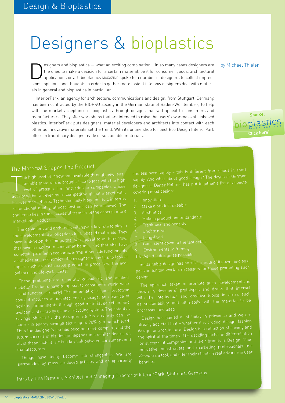# Designers & bioplastics

esigners and bioplastics — what an exciting combination... In so many cases designers are by Michael Thielen the ones to make a decision for a certain material, be it for consumer goods, architectural applications or art. bioplastics MAGAZINE spoke to a number of designers to collect impressions, opinions and thoughts in order to gather more insight into how designers deal with materials in general and bioplastics in particular.

InteriorPark, an agency for architecture, communications and design, from Stuttgart, Germany, has been contracted by the BIOPRO society in the German state of Baden-Württemberg to help with the market acceptance of bioplastics through designs that will appeal to consumers and manufacturers. They offer workshops that are intended to raise the users' awareness of biobased plastics. InteriorPark puts designers, material developers and architects into contact with each other as innovative materials set the trend. With its online shop for best Eco Design InteriorPark offers extraordinary designs made of sustainable materials.



#### The Material Shapes The Product

The high level of innovation available through the high<br>level of pressure for innovation in companies whose<br>activity within an ever more competitive global market calls he high level of innovation available through new, sustainable materials is brought face to face with the high level of pressure for innovation in companies whose for ever more efforts. Technologically it seems that, in terms of functional quality, almost anything can be achieved. The challenge lies in the successful transfer of the concept into a

The designers and architects will have a key role to play in the development of applications for biobased materials. They have to develop the things that will appeal to us tomorrow, that have a maximum consumer benefit, and that also have something to offer in economic terms. Alongside functionality, aesthetics and economics, the designer today has to look at topics such as sustainable production processes, the ecobalance and life-cycle costs.

These problems are generally considered and applied globally. Products have to appeal to consumers world-wide – and function properly! The potential of a good prototype concept includes anticipated energy usage, an absence of noxious contaminants through good material selection, and avoidance of scrap by using a recycling system. The potential savings offered by the designer via his creativity can be huge - in energy savings alone up to 90% can be achieved. Thus the designer's job has become more complex, and the future success of his design depends in a similar degree on all of these factors. He is a key link between consumers an<sup>d</sup>

Things have today become interchangeable. We are surrounded by mass produced articles and an apparently

endless over-supply – this is different from goods in short supply. And what about good design? The doyen of German designers, Dieter Rahms, has put together a list of aspects

- 1. Innovation
- 
- 3. Aesthetics
- 
- 
- 
- Long-lived
- 8. Consistent down to the last detail
- 
- 

Sustainable design has no set formula of its own, and so a passion for the work is necessary for those promoting suc<sup>h</sup>

shown in designers' prototypes and drafts that interact with the intellectual and creative topics in areas such as sustainability, and ultimately with the material to be

already addicted to it – whether it is product design, fashion design, or architecture. Design is a reflection of society an<sup>d</sup> the spirit of the times. The deciding factor in differentiation for successful companies and their brands is Design. Thus innovative industrialists and marketing professionals use design as a tool, and offer their clients a real advance in user

Intro by Tina Kammer, Architect and Managing Director of InteriorPark. Stuttgart, Germany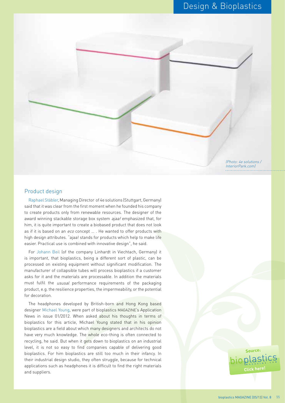#### Design & Bioplastics



#### Product design

Raphael Stäbler, Managing Director of 4e solutions (Stuttgart, Germany) said that it was clear from the first moment when he founded his company to create products only from renewable resources. The designer of the award winning stackable storage box system *ajaa!* emphasized that, for him, it is quite important to create a biobased product that does not look as if it is based on an eco concept ... . He wanted to offer products with high design attributes. "ajaa! stands for products which help to make life easier. Practical use is combined with innovative design", he said.

For Johann Beil (of the company Linhardt in Viechtach, Germany) it is important, that bioplastics, being a different sort of plastic, can be processed on existing equipment without significant modification. The manufacturer of collapsible tubes will process bioplastics if a customer asks for it and the materials are processable. In addition the materials must fulfil the ususal performance requirements of the packaging product, e.g. the resilience properties, the impermeability, or the potential for decoration.

The headphones developed by British-born and Hong Kong based designer Michael Young, were part of bioplastics MAGAZINE's Application News in issue 01/2012. When asked about his thoughts in terms of bioplastics for this article, Michael Young stated that in his opinion bioplastics are a field about which many designers and architects do not have very much knowledge. The whole eco-thing is often connected to recycling, he said. But when it gets down to bioplastics on an industrial level, it is not so easy to find companies capable of delivering good bioplastics. For him bioplastics are still too much in their infancy. In their industrial design studio, they often struggle, because for technical applications such as headphones it is difficult to find the right materials and suppliers.

## source:<br>**bioplastics [Click here](http://www.bioplasticsmagazine.com)!**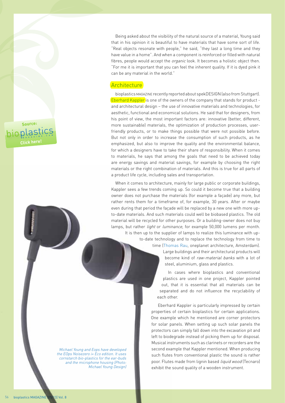source:<br>**bioplastics [Click here](http://www.bioplasticsmagazine.com)!**

> Michael Young and Eops have developed the EOps Noisezero i+ Eco edition. It uses cornstarch bio-plastics for the ear-buds and the microphone housing (Photo:

Michael Young Design)

Being asked about the visibility of the natural source of a material, Young said that in his opinion it is beautiful to have materials that have some sort of life. "Real objects resonate with people," he said, "they last a long time and they have value in a home". And when a component is reinforced or filled with natural fibres, people would accept the *organic* look. It becomes a holistic object then. "For me it is important that you can feel the inherent quality. If it is dyed pink it can be any material in the world."

#### **Architecture**

bioplastics MAGAZINE recently reported about spekDESIGN (also from Stuttgart). Eberhard Kappler is one of the owners of the company that stands for product and architectural design – the use of innovative materials and technologies, for aesthetic, functional and economical solutions. He said that for designers, from his point of view, the most important factors are: innovative (better, different, more sustainable) materials, the optimization of production processes, userfriendly products, or to make things possible that were not possible before. But not only in order to increase the consumption of such products, as he emphasized, but also to improve the quality and the environmental balance, for which a designers have to take their share of responsibility. When it comes to materials, he says that among the goals that need to be achieved today are energy savings and material savings, for example by choosing the right materials or the right combination of materials. And this is true for all parts of a product life cycle, including sales and transportation.

When it comes to architecture, mainly for large public or corporate buildings, Kappler sees a few trends coming up. So could it become true that a building owner does not purchase the materials (for example a façade) any more, but rather rents them for a timeframe of, for example, 30 years. After or maybe even during that period the façade will be replaced by a new one with more upto-date materials. And such materials could well be biobased plastics. The old material will be recycled for other purposes. Or a building-owner does not buy lamps, but rather *light* or *luminance*, for example 50,000 lumens per month. It is then up to the supplier of lamps to realize this luminance with up-

> to-date technology and to replace the technology from time to time (Thomas Rau, oneplanet architecture, Amsterdam). Large buildings and their architectural products will become kind of raw-material banks with a lot of steel, aluminium, glass and plastics.

> > In cases where bioplastics and conventional plastics are used in one project, Kappler pointed out, that it is essential that all materials can be separated and do not influence the recyclability of each other.

Eberhard Kappler is particularly impressed by certain properties of certain bioplastics for certain applications. One example which he mentioned are corner protectors for solar panels. When setting up such solar panels the protectors can simply fall down into the excavation pit and left to biodegrade instead of picking them up for disposal. Musical instruments such as clarinets or recorders are the second example that Kappler mentioned. When producing such flutes from conventional plastic the sound is rather poor. Flutes made from lignin based liquid wood (Tecnaro) exhibit the sound quality of a wooden instrument.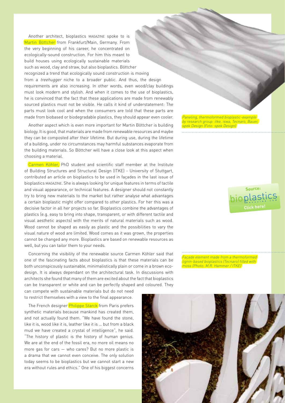Another architect, bioplastics MAGAZINE spoke to is Martin Böttcher from Frankfurt/Main, Germany. From the very beginning of his career, he concentrated on ecologically-sound construction. For him this meant to build houses using ecologically sustainable materials such as wood, clay and straw, but also bioplastics. Böttcher recognized a trend that ecologically sound construction is moving from a *treehugger* niche to a broader public. And thus, the design requirements are also increasing. In other words, even wood/clay buildings must look modern and stylish. And when it comes to the use of bioplastics, he is convinced that the fact that these applications are made from renewably sourced plastics must not be visible. He calls it kind of understatement: The parts must look cool and when the consumers are told that these parts are made from biobased or biodegradable plastics, they should appear even cooler.

Another aspect which is even more important for Martin Böttcher is building biology. It is good, that materials are made from renewable resources and maybe they can be composted after their lifetime. But during use, during the lifetime of a building, under no circumstances may harmful substances evaporate from the building materials. So Böttcher will have a close look at this aspect when choosing a material.

Carmen Köhler, PhD student and scientific staff member at the Institute of Building Structures and Structural Design (ITKE) - University of Stuttgart, contributed an article on bioplastics to be used in façades in the last issue of bioplastics MAGAZINE. She is always looking for unique features in terms of tactile and visual appearance, or technical features. A designer should not constantly try to bring new materials to the market but rather analyse what advantages a certain bioplastic might offer compared to other plastics. For her this was a decisive factor in all her projects so far. Bioplastics combine the advantages of plastics (e.g. easy to bring into shape, transparent, or with different tactile and visual aesthetic aspects) with the merits of natural materials such as wood. Wood cannot be shaped as easily as plastic and the possibilities to vary the visual nature of wood are limited. Wood comes as it was grown, the properties cannot be changed any more. Bioplastics are based on renewable resources as well, but you can tailor them to your needs.

Concerning the visibility of the renewable source Carmen Köhler said that one of the fascinating facts about bioplastics is that these materials can be both unconspicously sustainable, minimalistically plain or come in a brown ecodesign. It is always dependant on the architectural task. In discussions with architects she found that many of them are excited about the fact that bioplastics can be transparent or white and can be perfectly shaped and coloured. They can compete with sustainable materials but do not need

to restrict themselves with a view to the final appearance.

The French designer Philippe Starck from Paris prefers synthetic materials because mankind has created them, and not actually found them. "We have found the stone, like it is, wood like it is, leather like it is … but from a black mud we have created a crystal of intelligence", he said. "The history of plastic is the history of human genius. We are at the end of the fossil era, no more oil means no more gas for cars — who cares? But no more plastic is a drama that we cannot even conceive. The only solution today seems to be bioplastics but we cannot start a new era without rules and ethics." One of his biggest concerns

Paneling, thermoformed bioplastic-example by research group: itke, iswa, Tecnaro, Bauer, spek Design (Foto: spek Design)

**[Click here](http://www.bioplasticsmagazine.com)!**

source:<br>**bioplastics** 

Façade element made from a thermoformed lignin-based bioplastics (Tecnaro) filled with moss (Photo: M.R. Hammer / ITKE)